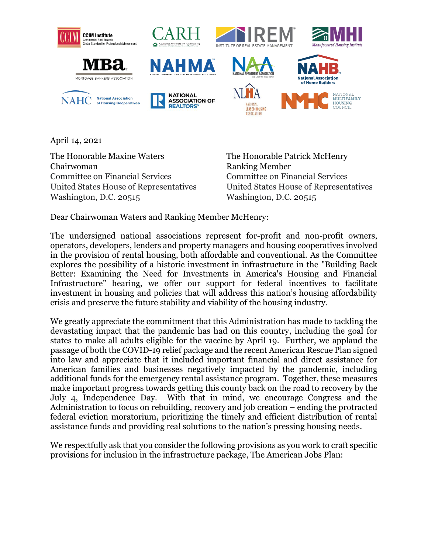

April 14, 2021

The Honorable Maxine Waters The Honorable Patrick McHenry Chairwoman Ranking Member Committee on Financial Services Committee on Financial Services United States House of Representatives United States House of Representatives Washington, D.C. 20515 Washington, D.C. 20515

Dear Chairwoman Waters and Ranking Member McHenry:

The undersigned national associations represent for-profit and non-profit owners, operators, developers, lenders and property managers and housing cooperatives involved in the provision of rental housing, both affordable and conventional. As the Committee explores the possibility of a historic investment in infrastructure in the "Building Back Better: Examining the Need for Investments in America's Housing and Financial Infrastructure" hearing, we offer our support for federal incentives to facilitate investment in housing and policies that will address this nation's housing affordability crisis and preserve the future stability and viability of the housing industry.

We greatly appreciate the commitment that this Administration has made to tackling the devastating impact that the pandemic has had on this country, including the goal for states to make all adults eligible for the vaccine by April 19. Further, we applaud the passage of both the COVID-19 relief package and the recent American Rescue Plan signed into law and appreciate that it included important financial and direct assistance for American families and businesses negatively impacted by the pandemic, including additional funds for the emergency rental assistance program. Together, these measures make important progress towards getting this county back on the road to recovery by the July 4, Independence Day. With that in mind, we encourage Congress and the Administration to focus on rebuilding, recovery and job creation – ending the protracted federal eviction moratorium, prioritizing the timely and efficient distribution of rental assistance funds and providing real solutions to the nation's pressing housing needs.

We respectfully ask that you consider the following provisions as you work to craft specific provisions for inclusion in the infrastructure package, The American Jobs Plan: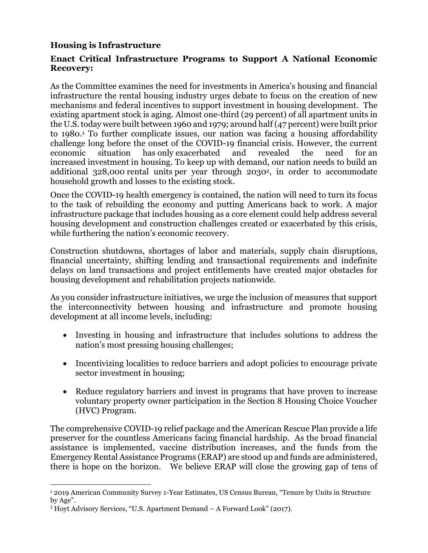## **Housing is Infrastructure**

## **Enact Critical Infrastructure Programs to Support A National Economic Recovery:**

As the Committee examines the need for investments in America's housing and financial infrastructure the rental housing industry urges debate to focus on the creation of new mechanisms and federal incentives to support investment in housing development. The existing apartment stock is aging. Almost one-third (29 percent) of all apartment units in the U.S. today were built between 1960 and 1979; around half (47 percent) were built prior to 1980.<sup>1</sup> To further complicate issues, our nation was facing a housing affordability challenge long before the onset of the COVID-19 financial crisis. However, the current economic situation has only exacerbated and revealed the need for an increased investment in housing. To keep up with demand, our nation needs to build an additional 328,000 rental units per year through 20302, in order to accommodate household growth and losses to the existing stock.

Once the COVID-19 health emergency is contained, the nation will need to turn its focus to the task of rebuilding the economy and putting Americans back to work. A major infrastructure package that includes housing as a core element could help address several housing development and construction challenges created or exacerbated by this crisis, while furthering the nation's economic recovery.

Construction shutdowns, shortages of labor and materials, supply chain disruptions, financial uncertainty, shifting lending and transactional requirements and indefinite delays on land transactions and project entitlements have created major obstacles for housing development and rehabilitation projects nationwide.

As you consider infrastructure initiatives, we urge the inclusion of measures that support the interconnectivity between housing and infrastructure and promote housing development at all income levels, including:

- Investing in housing and infrastructure that includes solutions to address the nation's most pressing housing challenges;
- Incentivizing localities to reduce barriers and adopt policies to encourage private sector investment in housing;
- Reduce regulatory barriers and invest in programs that have proven to increase voluntary property owner participation in the Section 8 Housing Choice Voucher (HVC) Program.

The comprehensive COVID-19 relief package and the American Rescue Plan provide a life preserver for the countless Americans facing financial hardship. As the broad financial assistance is implemented, vaccine distribution increases, and the funds from the Emergency Rental Assistance Programs (ERAP) are stood up and funds are administered, there is hope on the horizon. We believe ERAP will close the growing gap of tens of

<sup>1</sup> 2019 American Community Survey 1-Year Estimates, US Census Bureau, "Tenure by Units in Structure by Age".

<sup>2</sup> Hoyt Advisory Services, "U.S. Apartment Demand – A Forward Look" (2017).